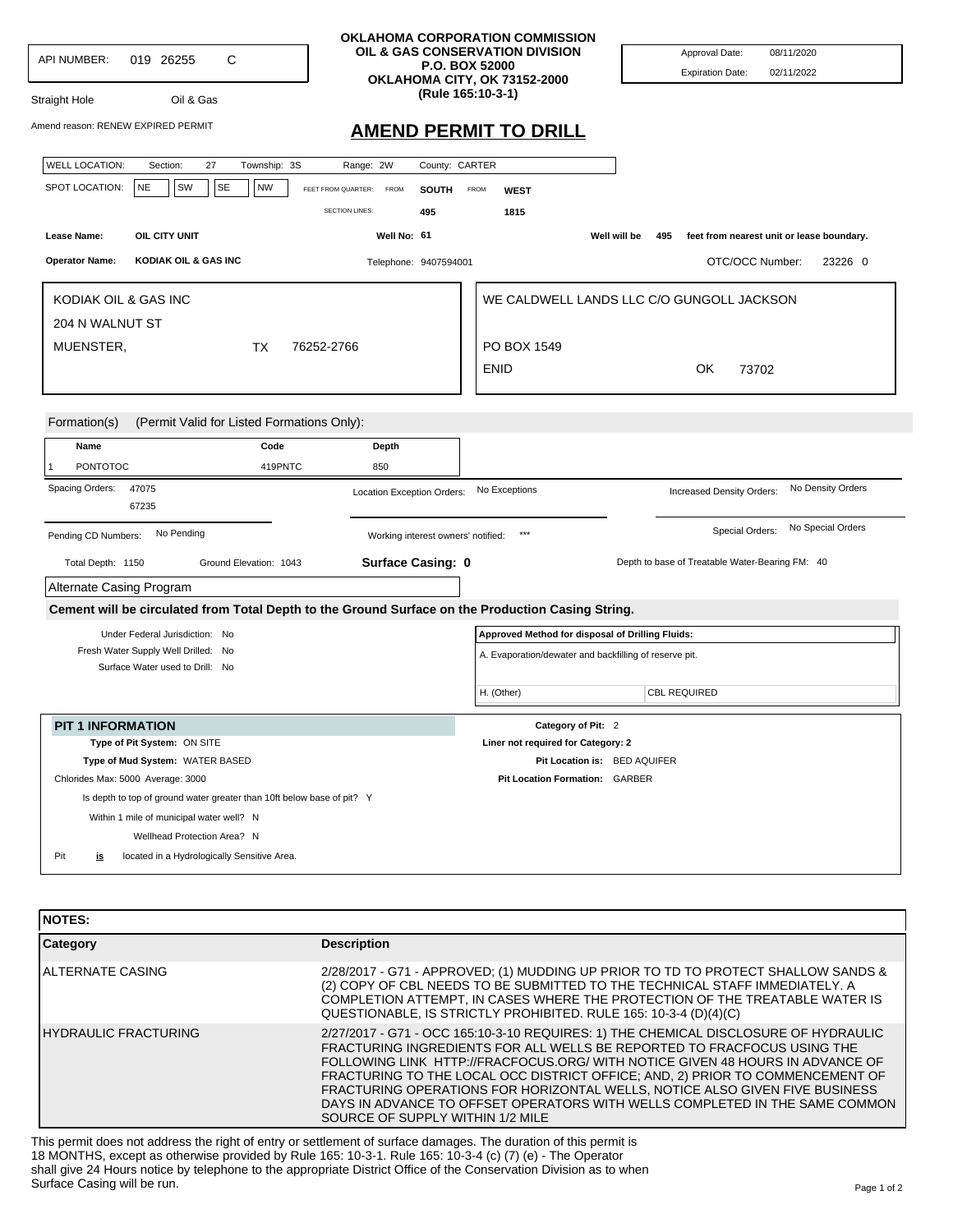|                                                                                                   | OKLAHOMA CORPORATION COMMISSION                          |                                                        |                                                                  |
|---------------------------------------------------------------------------------------------------|----------------------------------------------------------|--------------------------------------------------------|------------------------------------------------------------------|
| С<br><b>API NUMBER:</b><br>019 26255                                                              | OIL & GAS CONSERVATION DIVISION<br><b>P.O. BOX 52000</b> |                                                        | Approval Date:<br>08/11/2020                                     |
|                                                                                                   | OKLAHOMA CITY, OK 73152-2000                             |                                                        | <b>Expiration Date:</b><br>02/11/2022                            |
| Oil & Gas<br>Straight Hole                                                                        | (Rule 165:10-3-1)                                        |                                                        |                                                                  |
| Amend reason: RENEW EXPIRED PERMIT                                                                | <b>AMEND PERMIT TO DRILL</b>                             |                                                        |                                                                  |
| <b>WELL LOCATION:</b><br>27<br>Township: 3S<br>Section:                                           | Range: 2W<br>County: CARTER                              |                                                        |                                                                  |
| SPOT LOCATION:<br><b>NE</b><br>SW<br><b>SE</b><br><b>NW</b>                                       | FEET FROM QUARTER:<br><b>FROM</b><br><b>SOUTH</b>        | <b>FROM</b><br><b>WEST</b>                             |                                                                  |
|                                                                                                   | <b>SECTION LINES:</b><br>495                             | 1815                                                   |                                                                  |
| Lease Name:<br>OIL CITY UNIT                                                                      | Well No: 61                                              |                                                        | Well will be<br>feet from nearest unit or lease boundary.<br>495 |
| <b>Operator Name:</b><br>KODIAK OIL & GAS INC                                                     | Telephone: 9407594001                                    |                                                        | OTC/OCC Number:<br>23226 0                                       |
| KODIAK OIL & GAS INC                                                                              |                                                          |                                                        | WE CALDWELL LANDS LLC C/O GUNGOLL JACKSON                        |
| 204 N WALNUT ST                                                                                   |                                                          |                                                        |                                                                  |
| MUENSTER,<br>ТX                                                                                   | 76252-2766                                               | PO BOX 1549                                            |                                                                  |
|                                                                                                   |                                                          | <b>ENID</b>                                            | OK<br>73702                                                      |
|                                                                                                   |                                                          |                                                        |                                                                  |
| Name<br>Code<br><b>PONTOTOC</b><br>419PNTC<br>1                                                   | Depth<br>850                                             |                                                        |                                                                  |
| Spacing Orders:<br>47075<br>67235                                                                 | Location Exception Orders:                               | No Exceptions                                          | No Density Orders<br>Increased Density Orders:                   |
| No Pending<br>Pending CD Numbers:                                                                 | Working interest owners' notified:                       |                                                        | No Special Orders<br>Special Orders:                             |
| Total Depth: 1150<br>Ground Elevation: 1043                                                       | Surface Casing: 0                                        |                                                        | Depth to base of Treatable Water-Bearing FM: 40                  |
| Alternate Casing Program                                                                          |                                                          |                                                        |                                                                  |
| Cement will be circulated from Total Depth to the Ground Surface on the Production Casing String. |                                                          |                                                        |                                                                  |
| Under Federal Jurisdiction: No                                                                    |                                                          | Approved Method for disposal of Drilling Fluids:       |                                                                  |
| Fresh Water Supply Well Drilled: No<br>Surface Water used to Drill: No                            |                                                          | A. Evaporation/dewater and backfilling of reserve pit. |                                                                  |
|                                                                                                   |                                                          | H. (Other)                                             | <b>CBL REQUIRED</b>                                              |
| <b>PIT 1 INFORMATION</b>                                                                          |                                                          | Category of Pit: 2                                     |                                                                  |
| Type of Pit System: ON SITE                                                                       |                                                          | Liner not required for Category: 2                     |                                                                  |
| Type of Mud System: WATER BASED                                                                   |                                                          | Pit Location is: BED AQUIFER                           |                                                                  |
| Chlorides Max: 5000 Average: 3000                                                                 |                                                          | Pit Location Formation: GARBER                         |                                                                  |
| Is depth to top of ground water greater than 10ft below base of pit? Y                            |                                                          |                                                        |                                                                  |
| Within 1 mile of municipal water well? N                                                          |                                                          |                                                        |                                                                  |
| Wellhead Protection Area? N                                                                       |                                                          |                                                        |                                                                  |
| Pit<br>located in a Hydrologically Sensitive Area.<br>is                                          |                                                          |                                                        |                                                                  |

| <b>NOTES:</b>         |                                                                                                                                                                                                                                                                                                                                                                                                                                                                                                                                    |
|-----------------------|------------------------------------------------------------------------------------------------------------------------------------------------------------------------------------------------------------------------------------------------------------------------------------------------------------------------------------------------------------------------------------------------------------------------------------------------------------------------------------------------------------------------------------|
| <b>Category</b>       | <b>Description</b>                                                                                                                                                                                                                                                                                                                                                                                                                                                                                                                 |
| IALTERNATE CASING     | 2/28/2017 - G71 - APPROVED; (1) MUDDING UP PRIOR TO TD TO PROTECT SHALLOW SANDS &<br>(2) COPY OF CBL NEEDS TO BE SUBMITTED TO THE TECHNICAL STAFF IMMEDIATELY. A<br>COMPLETION ATTEMPT, IN CASES WHERE THE PROTECTION OF THE TREATABLE WATER IS<br>QUESTIONABLE, IS STRICTLY PROHIBITED. RULE 165: 10-3-4 (D)(4)(C)                                                                                                                                                                                                                |
| IHYDRAULIC FRACTURING | 2/27/2017 - G71 - OCC 165:10-3-10 REQUIRES: 1) THE CHEMICAL DISCLOSURE OF HYDRAULIC<br>FRACTURING INGREDIENTS FOR ALL WELLS BE REPORTED TO FRACFOCUS USING THE<br>FOLLOWING LINK HTTP://FRACFOCUS.ORG/ WITH NOTICE GIVEN 48 HOURS IN ADVANCE OF<br>FRACTURING TO THE LOCAL OCC DISTRICT OFFICE; AND, 2) PRIOR TO COMMENCEMENT OF<br>FRACTURING OPERATIONS FOR HORIZONTAL WELLS, NOTICE ALSO GIVEN FIVE BUSINESS<br>DAYS IN ADVANCE TO OFFSET OPERATORS WITH WELLS COMPLETED IN THE SAME COMMON<br>SOURCE OF SUPPLY WITHIN 1/2 MILE |

This permit does not address the right of entry or settlement of surface damages. The duration of this permit is 18 MONTHS, except as otherwise provided by Rule 165: 10-3-1. Rule 165: 10-3-4 (c) (7) (e) - The Operator shall give 24 Hours notice by telephone to the appropriate District Office of the Conservation Division as to when Surface Casing will be run.